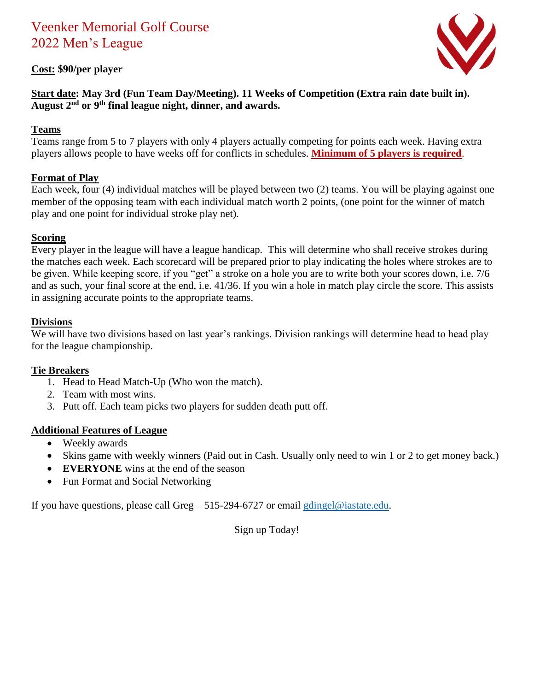# Veenker Memorial Golf Course 2022 Men's League

## **Cost: \$90/per player**



#### **Start date: May 3rd (Fun Team Day/Meeting). 11 Weeks of Competition (Extra rain date built in). August 2nd or 9th final league night, dinner, and awards.**

#### **Teams**

Teams range from 5 to 7 players with only 4 players actually competing for points each week. Having extra players allows people to have weeks off for conflicts in schedules. **Minimum of 5 players is required**.

## **Format of Play**

Each week, four (4) individual matches will be played between two (2) teams. You will be playing against one member of the opposing team with each individual match worth 2 points, (one point for the winner of match play and one point for individual stroke play net).

#### **Scoring**

Every player in the league will have a league handicap. This will determine who shall receive strokes during the matches each week. Each scorecard will be prepared prior to play indicating the holes where strokes are to be given. While keeping score, if you "get" a stroke on a hole you are to write both your scores down, i.e. 7/6 and as such, your final score at the end, i.e. 41/36. If you win a hole in match play circle the score. This assists in assigning accurate points to the appropriate teams.

#### **Divisions**

We will have two divisions based on last year's rankings. Division rankings will determine head to head play for the league championship.

#### **Tie Breakers**

- 1. Head to Head Match-Up (Who won the match).
- 2. Team with most wins.
- 3. Putt off. Each team picks two players for sudden death putt off.

#### **Additional Features of League**

- Weekly awards
- Skins game with weekly winners (Paid out in Cash. Usually only need to win 1 or 2 to get money back.)
- **EVERYONE** wins at the end of the season
- Fun Format and Social Networking

If you have questions, please call Greg – 515-294-6727 or email [gdingel@iastate.edu.](mailto:gdingel@iastate.edu)

Sign up Today!